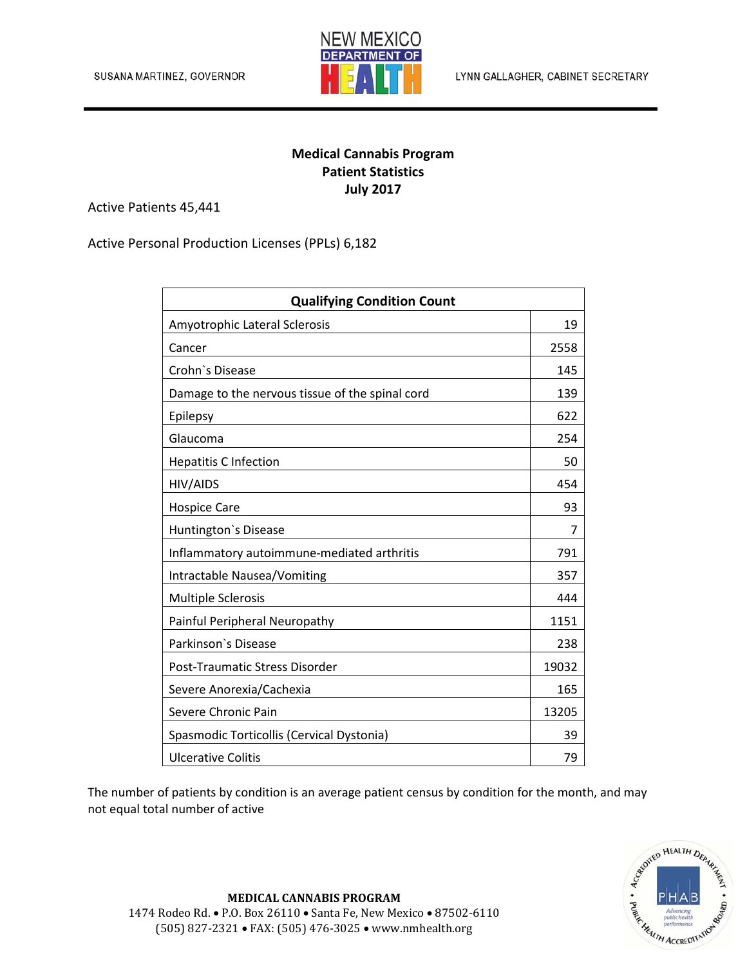

## **Medical Cannabis Program Patient Statistics July 2017**

Active Patients 45,441

Active Personal Production Licenses (PPLs) 6,182

| <b>Qualifying Condition Count</b>               |       |
|-------------------------------------------------|-------|
| Amyotrophic Lateral Sclerosis                   | 19    |
| Cancer                                          | 2558  |
| Crohn's Disease                                 | 145   |
| Damage to the nervous tissue of the spinal cord | 139   |
| Epilepsy                                        | 622   |
| Glaucoma                                        | 254   |
| <b>Hepatitis C Infection</b>                    | 50    |
| HIV/AIDS                                        | 454   |
| <b>Hospice Care</b>                             | 93    |
| Huntington's Disease                            | 7     |
| Inflammatory autoimmune-mediated arthritis      | 791   |
| Intractable Nausea/Vomiting                     | 357   |
| <b>Multiple Sclerosis</b>                       | 444   |
| Painful Peripheral Neuropathy                   | 1151  |
| Parkinson's Disease                             | 238   |
| Post-Traumatic Stress Disorder                  | 19032 |
| Severe Anorexia/Cachexia                        | 165   |
| Severe Chronic Pain                             | 13205 |
| Spasmodic Torticollis (Cervical Dystonia)       | 39    |
| <b>Ulcerative Colitis</b>                       | 79    |

The number of patients by condition is an average patient census by condition for the month, and may not equal total number of active